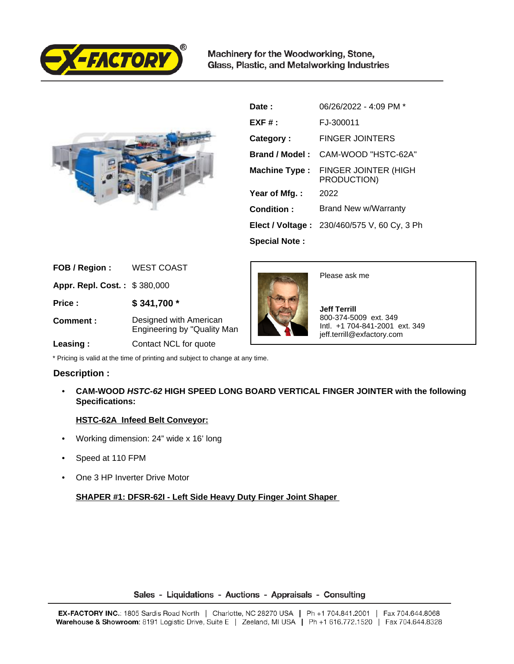

Machinery for the Woodworking, Stone, Glass, Plastic, and Metalworking Industries



| Date :               | 06/26/2022 - 4:09 PM *                             |
|----------------------|----------------------------------------------------|
| $EXF#$ :             | FJ-300011                                          |
| Category:            | FINGER JOINTERS                                    |
| Brand / Model:       | CAM-WOOD "HSTC-62A"                                |
| <b>Machine Type:</b> | FINGER JOINTER (HIGH<br>PRODUCTION)                |
| Year of Mfg.:        | 2022                                               |
| Condition:           | <b>Brand New w/Warranty</b>                        |
|                      | <b>Elect / Voltage: 230/460/575 V, 60 Cy, 3 Ph</b> |
| <b>Special Note:</b> |                                                    |

| FOB / Region:                | <b>WEST COAST</b>                                     |
|------------------------------|-------------------------------------------------------|
| Appr. Repl. Cost.: \$380,000 |                                                       |
| Price:                       | \$341,700 *                                           |
| Comment:                     | Designed with American<br>Engineering by "Quality Man |
| Leasing:                     | Contact NCL for quote                                 |



Please ask me

 **Jeff Terrill** 800-374-5009 ext. 349 Intl. +1 704-841-2001 ext. 349 jeff.terrill@exfactory.com

\* Pricing is valid at the time of printing and subject to change at any time.

## **Description :**

• **CAM-WOOD HSTC-62 HIGH SPEED LONG BOARD VERTICAL FINGER JOINTER with the following Specifications:** 

## **HSTC-62A Infeed Belt Conveyor:**

- Working dimension: 24" wide x 16' long
- Speed at 110 FPM
- One 3 HP Inverter Drive Motor

**SHAPER #1: DFSR-62I - Left Side Heavy Duty Finger Joint Shaper**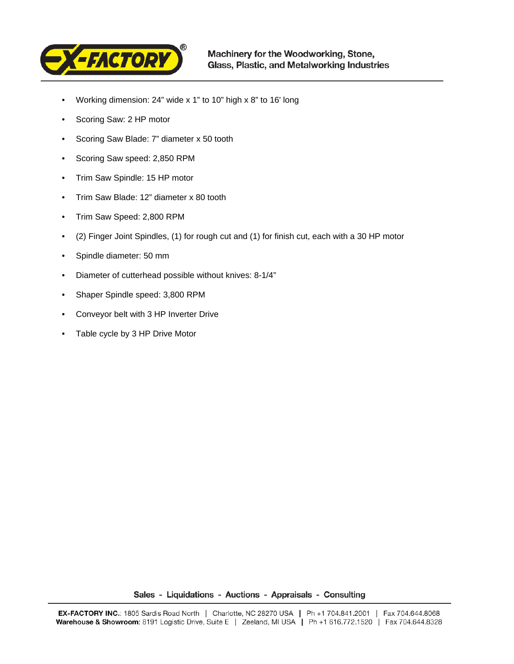

- Working dimension: 24" wide x 1" to 10" high x 8" to 16' long
- Scoring Saw: 2 HP motor
- Scoring Saw Blade: 7" diameter x 50 tooth
- Scoring Saw speed: 2,850 RPM
- Trim Saw Spindle: 15 HP motor
- Trim Saw Blade: 12" diameter x 80 tooth
- Trim Saw Speed: 2,800 RPM
- (2) Finger Joint Spindles, (1) for rough cut and (1) for finish cut, each with a 30 HP motor
- Spindle diameter: 50 mm
- Diameter of cutterhead possible without knives: 8-1/4"
- Shaper Spindle speed: 3,800 RPM
- Conveyor belt with 3 HP Inverter Drive
- Table cycle by 3 HP Drive Motor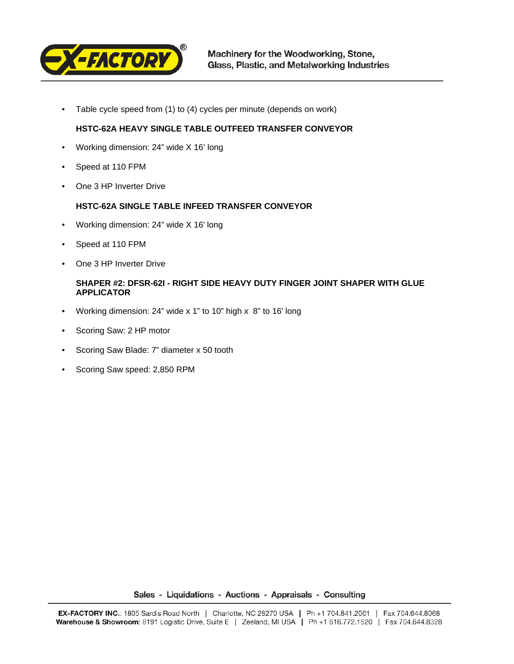

• Table cycle speed from (1) to (4) cycles per minute (depends on work)

# **HSTC-62A HEAVY SINGLE TABLE OUTFEED TRANSFER CONVEYOR**

- Working dimension: 24" wide X 16' long
- Speed at 110 FPM
- One 3 HP Inverter Drive

# **HSTC-62A SINGLE TABLE INFEED TRANSFER CONVEYOR**

- Working dimension: 24" wide X 16' long
- Speed at 110 FPM
- One 3 HP Inverter Drive

## **SHAPER #2: DFSR-62I - RIGHT SIDE HEAVY DUTY FINGER JOINT SHAPER WITH GLUE APPLICATOR**

- Working dimension: 24" wide x 1" to 10" high x 8" to 16' long
- Scoring Saw: 2 HP motor
- Scoring Saw Blade: 7" diameter x 50 tooth
- Scoring Saw speed: 2,850 RPM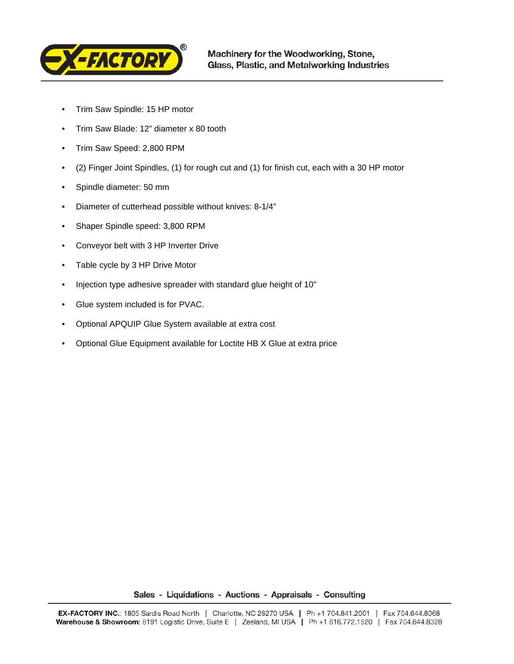

- Trim Saw Spindle: 15 HP motor
- Trim Saw Blade: 12" diameter x 80 tooth
- Trim Saw Speed: 2,800 RPM
- (2) Finger Joint Spindles, (1) for rough cut and (1) for finish cut, each with a 30 HP motor
- Spindle diameter: 50 mm
- Diameter of cutterhead possible without knives: 8-1/4"
- Shaper Spindle speed: 3,800 RPM
- Conveyor belt with 3 HP Inverter Drive
- Table cycle by 3 HP Drive Motor
- Injection type adhesive spreader with standard glue height of 10"
- Glue system included is for PVAC.
- Optional APQUIP Glue System available at extra cost
- Optional Glue Equipment available for Loctite HB X Glue at extra price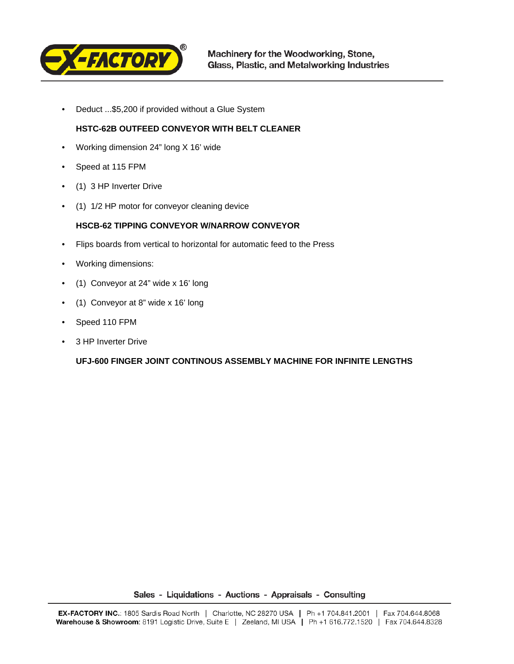

• Deduct ...\$5,200 if provided without a Glue System

## **HSTC-62B OUTFEED CONVEYOR WITH BELT CLEANER**

- Working dimension 24" long X 16' wide
- Speed at 115 FPM
- (1) 3 HP Inverter Drive
- (1) 1/2 HP motor for conveyor cleaning device

### **HSCB-62 TIPPING CONVEYOR W/NARROW CONVEYOR**

- Flips boards from vertical to horizontal for automatic feed to the Press
- Working dimensions:
- (1) Conveyor at 24" wide x 16' long
- (1) Conveyor at 8" wide x 16' long
- Speed 110 FPM
- 3 HP Inverter Drive

#### **UFJ-600 FINGER JOINT CONTINOUS ASSEMBLY MACHINE FOR INFINITE LENGTHS**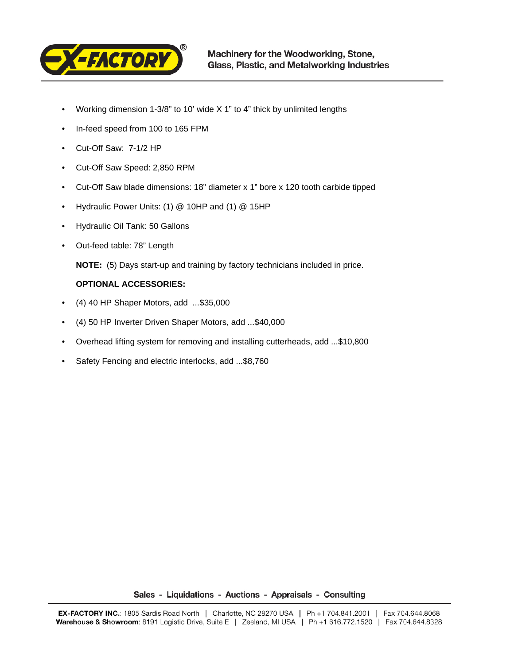

- Working dimension 1-3/8" to 10' wide X 1" to 4" thick by unlimited lengths
- In-feed speed from 100 to 165 FPM
- Cut-Off Saw: 7-1/2 HP
- Cut-Off Saw Speed: 2,850 RPM
- Cut-Off Saw blade dimensions: 18" diameter x 1" bore x 120 tooth carbide tipped
- Hydraulic Power Units: (1) @ 10HP and (1) @ 15HP
- Hydraulic Oil Tank: 50 Gallons
- Out-feed table: 78" Length

**NOTE:** (5) Days start-up and training by factory technicians included in price.

## **OPTIONAL ACCESSORIES:**

- (4) 40 HP Shaper Motors, add ...\$35,000
- (4) 50 HP Inverter Driven Shaper Motors, add ...\$40,000
- Overhead lifting system for removing and installing cutterheads, add ...\$10,800
- Safety Fencing and electric interlocks, add ...\$8,760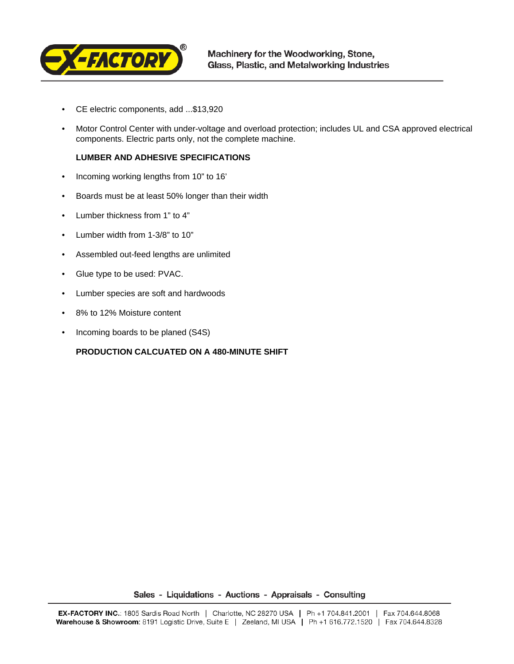

- CE electric components, add ...\$13,920
- Motor Control Center with under-voltage and overload protection; includes UL and CSA approved electrical components. Electric parts only, not the complete machine.

### **LUMBER AND ADHESIVE SPECIFICATIONS**

- Incoming working lengths from 10" to 16'
- Boards must be at least 50% longer than their width
- Lumber thickness from 1" to 4"
- Lumber width from 1-3/8" to 10"
- Assembled out-feed lengths are unlimited
- Glue type to be used: PVAC.
- Lumber species are soft and hardwoods
- 8% to 12% Moisture content
- Incoming boards to be planed (S4S)

## **PRODUCTION CALCUATED ON A 480-MINUTE SHIFT**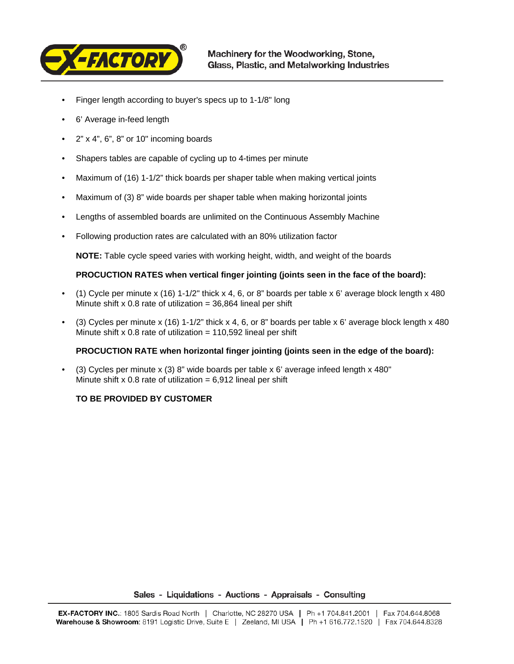

- Finger length according to buyer's specs up to 1-1/8" long
- 6' Average in-feed length
- $2"$  x 4", 6", 8" or 10" incoming boards
- Shapers tables are capable of cycling up to 4-times per minute
- Maximum of (16) 1-1/2" thick boards per shaper table when making vertical joints
- Maximum of (3) 8" wide boards per shaper table when making horizontal joints
- Lengths of assembled boards are unlimited on the Continuous Assembly Machine
- Following production rates are calculated with an 80% utilization factor

**NOTE:** Table cycle speed varies with working height, width, and weight of the boards

#### **PROCUCTION RATES when vertical finger jointing (joints seen in the face of the board):**

- (1) Cycle per minute x (16) 1-1/2" thick x 4, 6, or 8" boards per table x 6' average block length x 480 Minute shift x 0.8 rate of utilization =  $36,864$  lineal per shift
- (3) Cycles per minute x (16) 1-1/2" thick x 4, 6, or 8" boards per table x 6' average block length x 480 Minute shift x 0.8 rate of utilization =  $110,592$  lineal per shift

## **PROCUCTION RATE when horizontal finger jointing (joints seen in the edge of the board):**

• (3) Cycles per minute x (3) 8" wide boards per table x 6' average infeed length x 480" Minute shift x 0.8 rate of utilization =  $6,912$  lineal per shift

## **TO BE PROVIDED BY CUSTOMER**